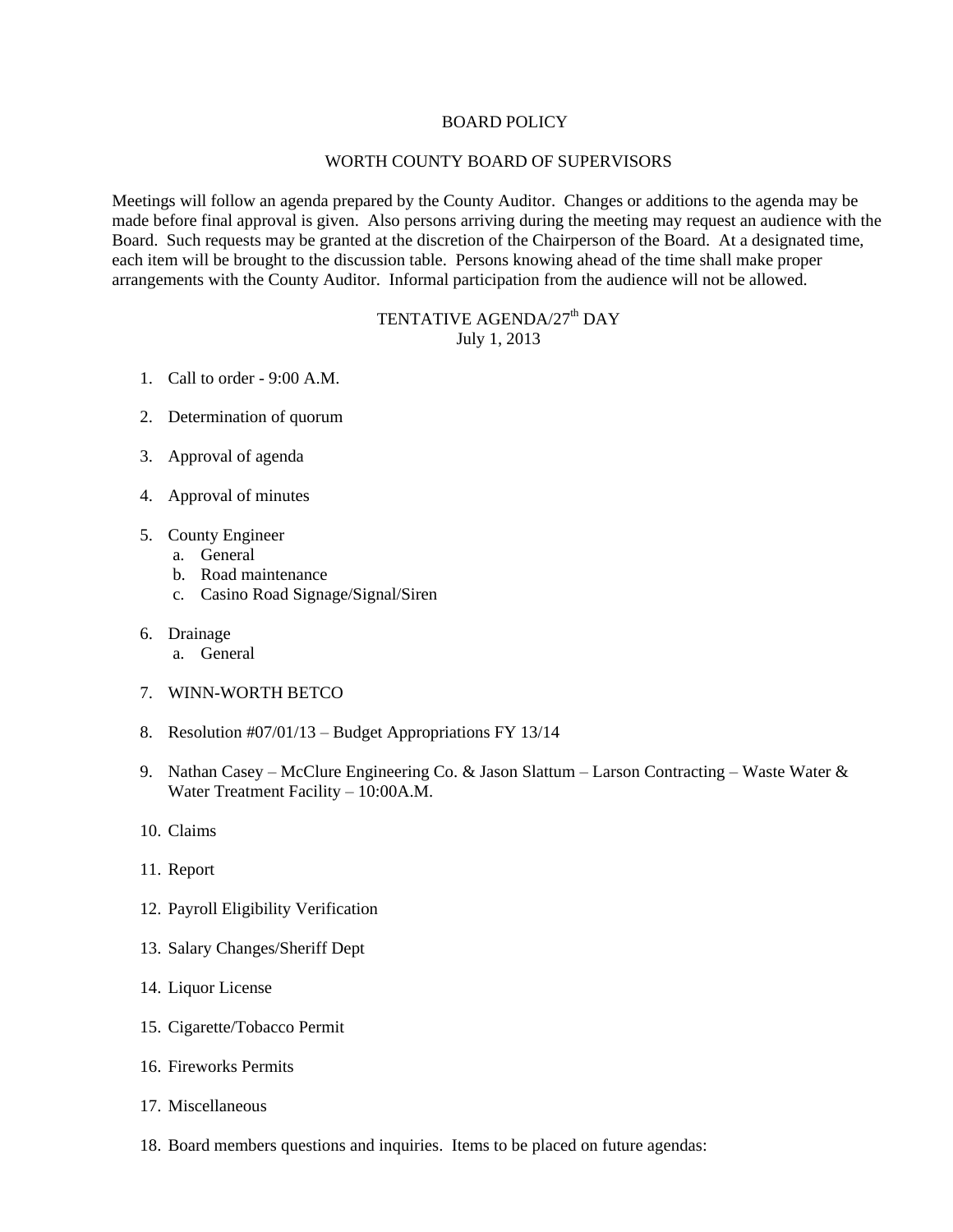## BOARD POLICY

## WORTH COUNTY BOARD OF SUPERVISORS

Meetings will follow an agenda prepared by the County Auditor. Changes or additions to the agenda may be made before final approval is given. Also persons arriving during the meeting may request an audience with the Board. Such requests may be granted at the discretion of the Chairperson of the Board. At a designated time, each item will be brought to the discussion table. Persons knowing ahead of the time shall make proper arrangements with the County Auditor. Informal participation from the audience will not be allowed.

## TENTATIVE AGENDA/27<sup>th</sup> DAY July 1, 2013

- 1. Call to order 9:00 A.M.
- 2. Determination of quorum
- 3. Approval of agenda
- 4. Approval of minutes
- 5. County Engineer
	- a. General
	- b. Road maintenance
	- c. Casino Road Signage/Signal/Siren
- 6. Drainage
	- a. General
- 7. WINN-WORTH BETCO
- 8. Resolution #07/01/13 Budget Appropriations FY 13/14
- 9. Nathan Casey McClure Engineering Co. & Jason Slattum Larson Contracting Waste Water & Water Treatment Facility – 10:00A.M.
- 10. Claims
- 11. Report
- 12. Payroll Eligibility Verification
- 13. Salary Changes/Sheriff Dept
- 14. Liquor License
- 15. Cigarette/Tobacco Permit
- 16. Fireworks Permits
- 17. Miscellaneous
- 18. Board members questions and inquiries. Items to be placed on future agendas: